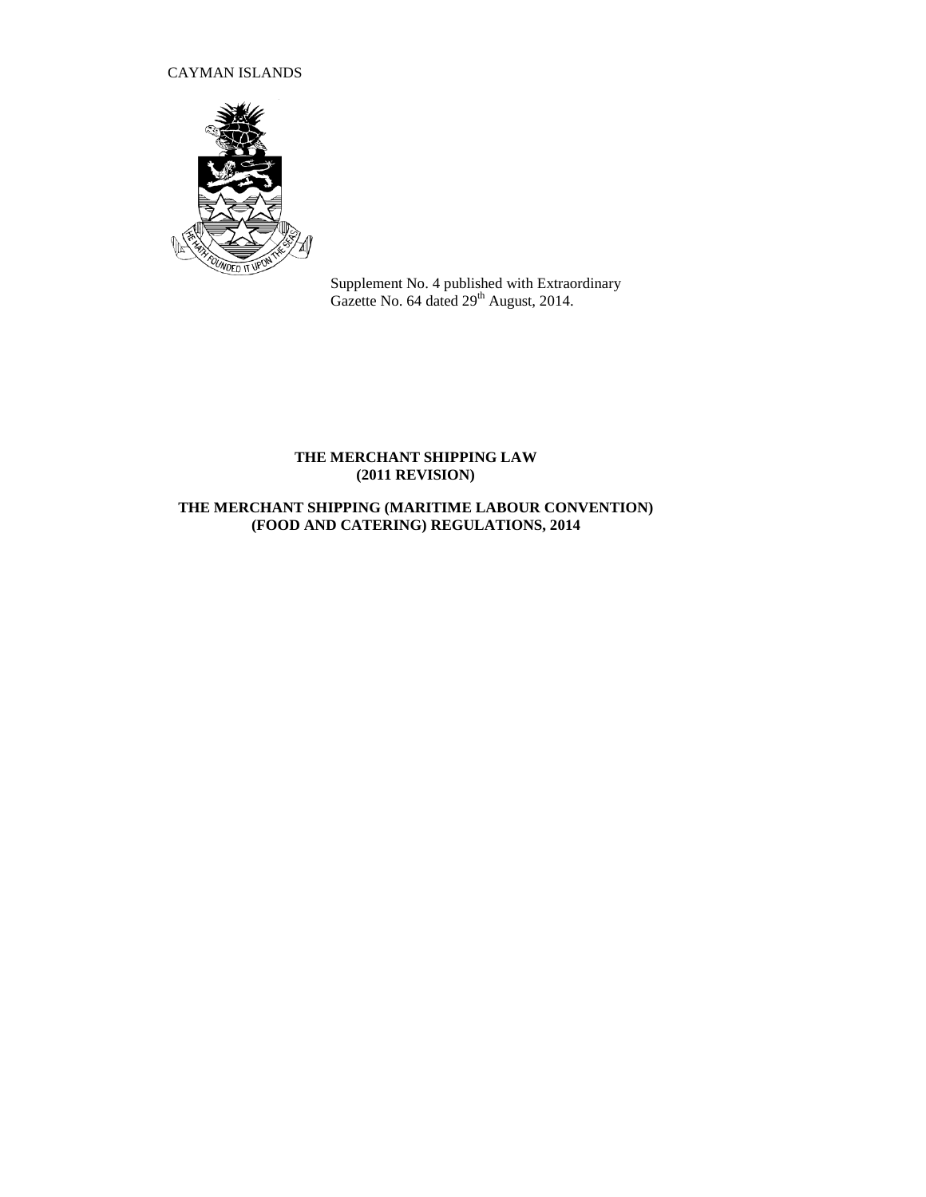# CAYMAN ISLANDS



Supplement No. 4 published with Extraordinary Gazette No. 64 dated  $29<sup>th</sup>$  August, 2014.

## **THE MERCHANT SHIPPING LAW (2011 REVISION)**

# **THE MERCHANT SHIPPING (MARITIME LABOUR CONVENTION) (FOOD AND CATERING) REGULATIONS, 2014**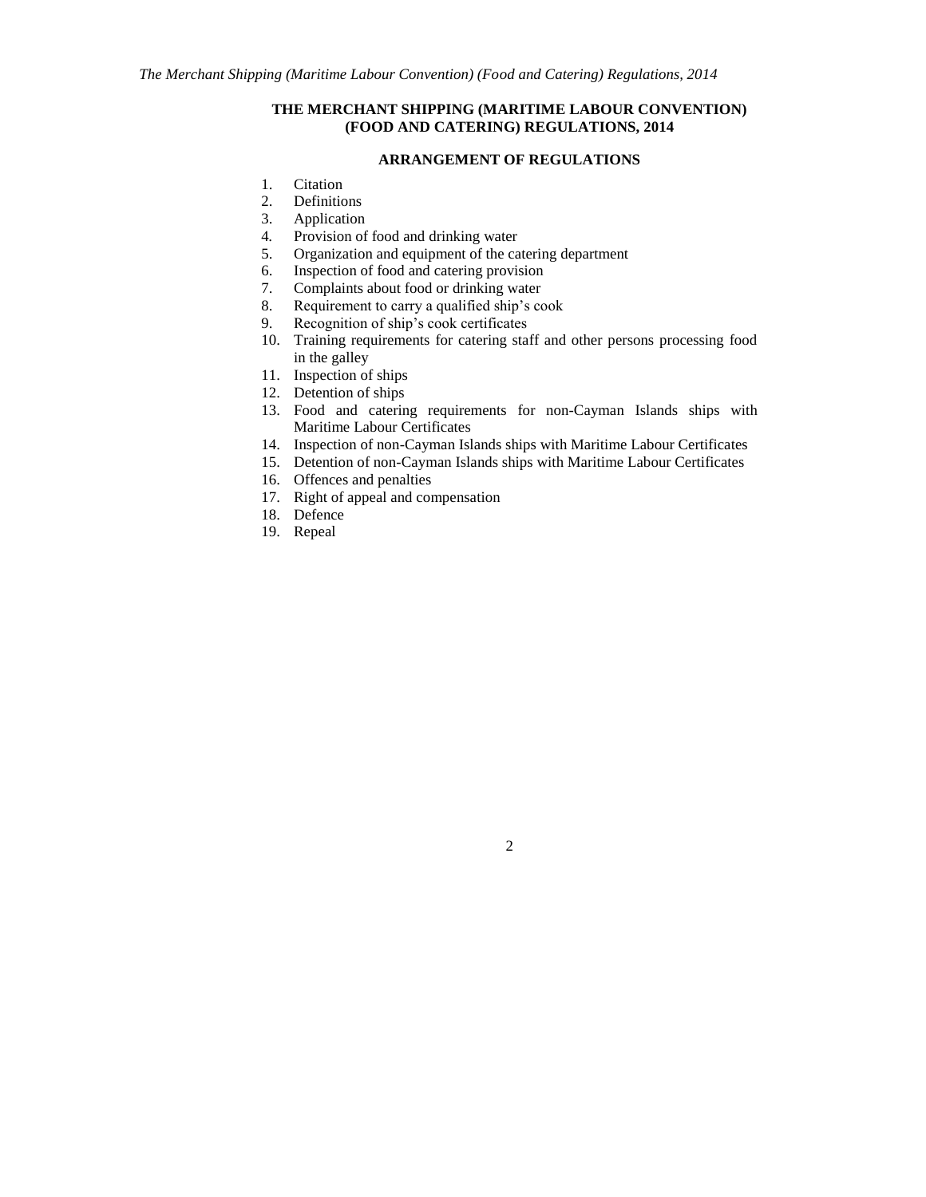### **THE MERCHANT SHIPPING (MARITIME LABOUR CONVENTION) (FOOD AND CATERING) REGULATIONS, 2014**

### **ARRANGEMENT OF REGULATIONS**

- 1. Citation<br>2. Definition
- **Definitions**
- 3. Application
- 4*.* Provision of food and drinking water
- 5. Organization and equipment of the catering department
- 6. Inspection of food and catering provision
- 7. Complaints about food or drinking water
- 8. Requirement to carry a qualified ship's cook
- 9. Recognition of ship's cook certificates
- 10. Training requirements for catering staff and other persons processing food in the galley
- 11. Inspection of ships
- 12. Detention of ships
- 13. Food and catering requirements for non-Cayman Islands ships with Maritime Labour Certificates
- 14. Inspection of non-Cayman Islands ships with Maritime Labour Certificates
- 15. Detention of non-Cayman Islands ships with Maritime Labour Certificates
- 16. Offences and penalties
- 17. Right of appeal and compensation
- 18. Defence
- 19. Repeal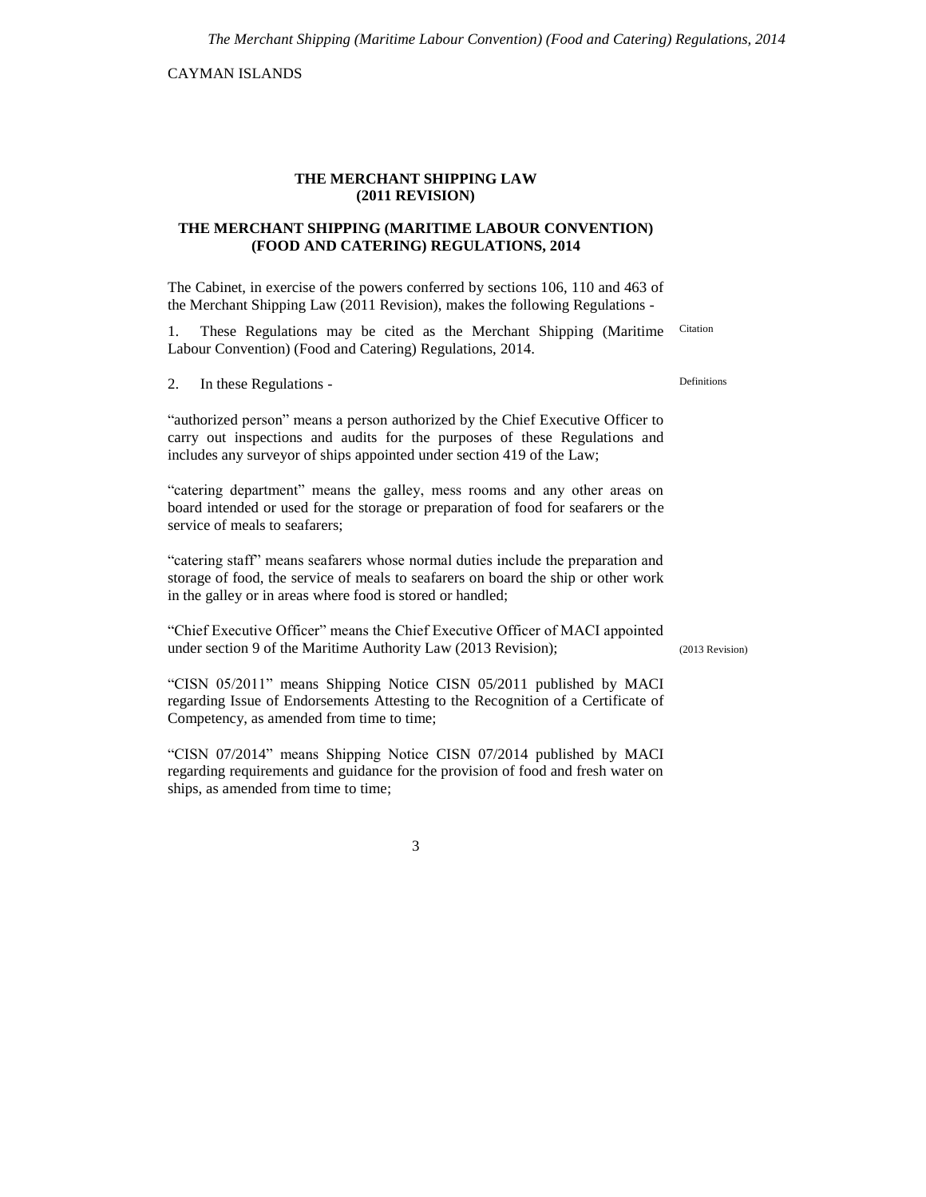CAYMAN ISLANDS

#### **THE MERCHANT SHIPPING LAW (2011 REVISION)**

### **THE MERCHANT SHIPPING (MARITIME LABOUR CONVENTION) (FOOD AND CATERING) REGULATIONS, 2014**

The Cabinet, in exercise of the powers conferred by sections 106, 110 and 463 of the Merchant Shipping Law (2011 Revision), makes the following Regulations -

1. These Regulations may be cited as the Merchant Shipping (Maritime Labour Convention) (Food and Catering) Regulations, 2014. Citation

2. In these Regulations -

"authorized person" means a person authorized by the Chief Executive Officer to carry out inspections and audits for the purposes of these Regulations and includes any surveyor of ships appointed under section 419 of the Law;

"catering department" means the galley, mess rooms and any other areas on board intended or used for the storage or preparation of food for seafarers or the service of meals to seafarers;

"catering staff" means seafarers whose normal duties include the preparation and storage of food, the service of meals to seafarers on board the ship or other work in the galley or in areas where food is stored or handled;

"Chief Executive Officer" means the Chief Executive Officer of MACI appointed under section 9 of the Maritime Authority Law (2013 Revision);

"CISN 05/2011" means Shipping Notice CISN 05/2011 published by MACI regarding Issue of Endorsements Attesting to the Recognition of a Certificate of Competency, as amended from time to time;

"CISN 07/2014" means Shipping Notice CISN 07/2014 published by MACI regarding requirements and guidance for the provision of food and fresh water on ships, as amended from time to time;

3

Definitions

(2013 Revision)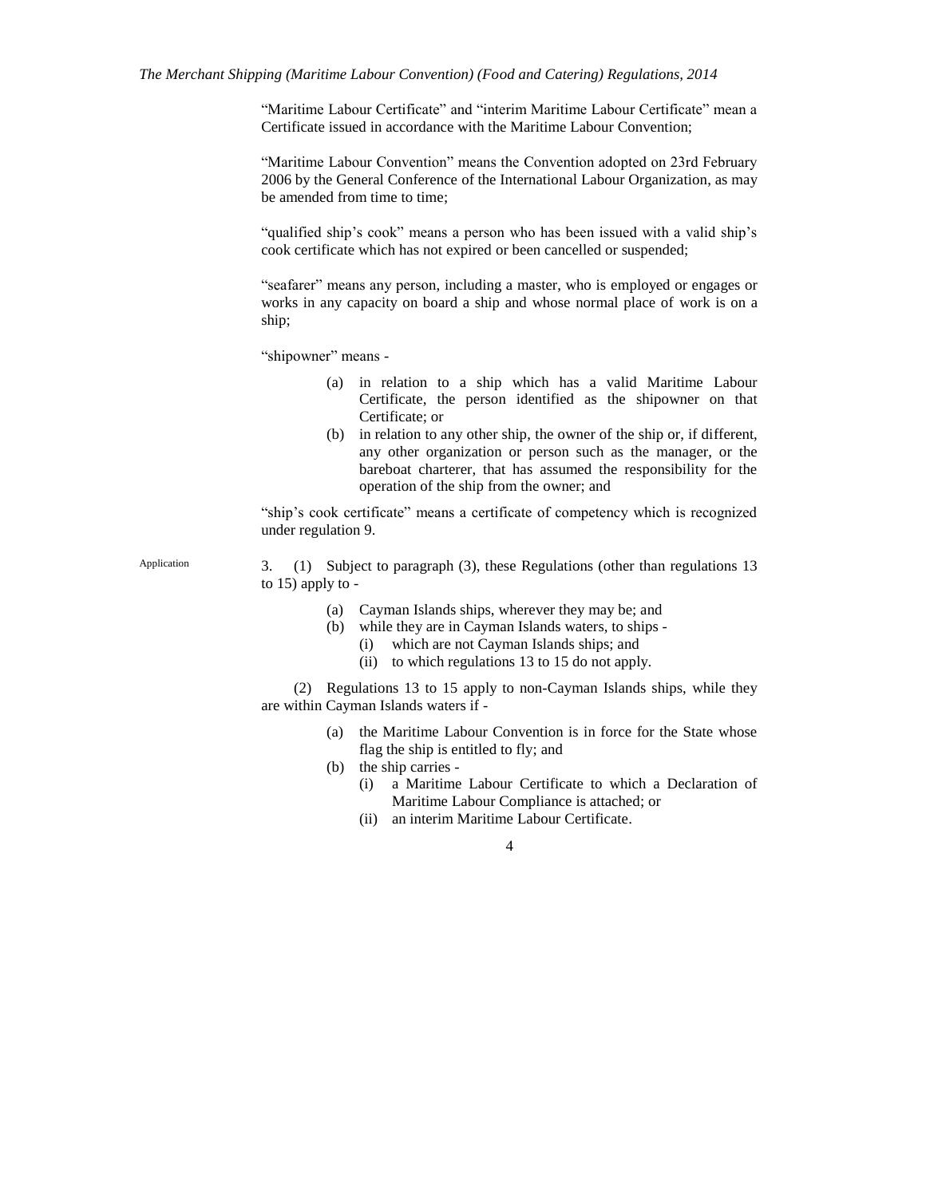"Maritime Labour Certificate" and "interim Maritime Labour Certificate" mean a Certificate issued in accordance with the Maritime Labour Convention;

"Maritime Labour Convention" means the Convention adopted on 23rd February 2006 by the General Conference of the International Labour Organization, as may be amended from time to time;

"qualified ship's cook" means a person who has been issued with a valid ship's cook certificate which has not expired or been cancelled or suspended;

"seafarer" means any person, including a master, who is employed or engages or works in any capacity on board a ship and whose normal place of work is on a ship;

"shipowner" means -

- (a) in relation to a ship which has a valid Maritime Labour Certificate, the person identified as the shipowner on that Certificate; or
- (b) in relation to any other ship, the owner of the ship or, if different, any other organization or person such as the manager, or the bareboat charterer, that has assumed the responsibility for the operation of the ship from the owner; and

"ship's cook certificate" means a certificate of competency which is recognized under regulation 9.

Application

3. (1) Subject to paragraph (3), these Regulations (other than regulations 13 to 15) apply to -

- (a) Cayman Islands ships, wherever they may be; and
- (b) while they are in Cayman Islands waters, to ships
	- (i) which are not Cayman Islands ships; and
	- (ii) to which regulations 13 to 15 do not apply.

(2) Regulations 13 to 15 apply to non-Cayman Islands ships, while they are within Cayman Islands waters if -

- (a) the Maritime Labour Convention is in force for the State whose flag the ship is entitled to fly; and
- (b) the ship carries
	- (i) a Maritime Labour Certificate to which a Declaration of Maritime Labour Compliance is attached; or
	- (ii) an interim Maritime Labour Certificate.

<sup>4</sup>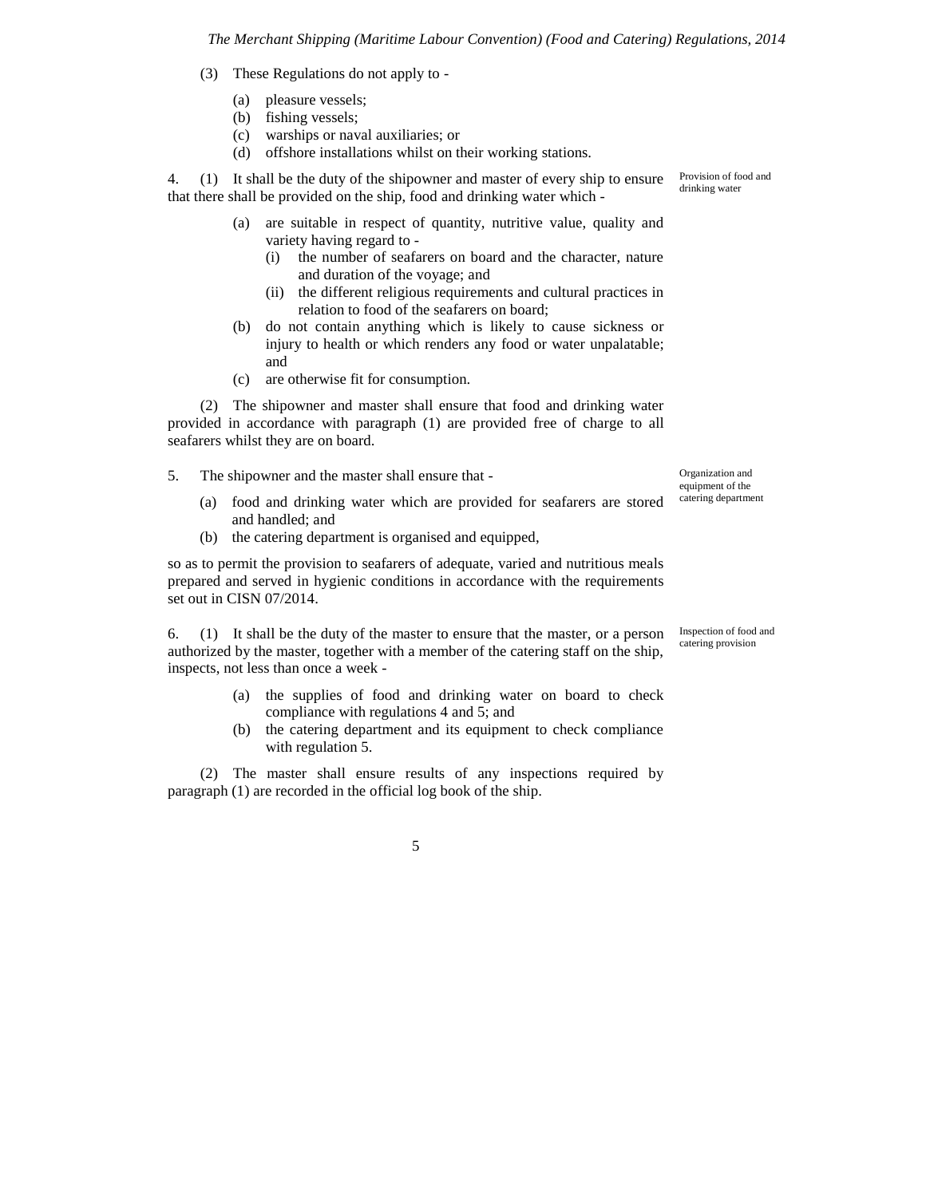- (3) These Regulations do not apply to
	- (a) pleasure vessels;
	- (b) fishing vessels;
	- (c) warships or naval auxiliaries; or
	- (d) offshore installations whilst on their working stations.

4. (1) It shall be the duty of the shipowner and master of every ship to ensure that there shall be provided on the ship, food and drinking water which -

- (a) are suitable in respect of quantity, nutritive value, quality and variety having regard to -
	- (i) the number of seafarers on board and the character, nature and duration of the voyage; and
	- (ii) the different religious requirements and cultural practices in relation to food of the seafarers on board;
- (b) do not contain anything which is likely to cause sickness or injury to health or which renders any food or water unpalatable; and
- (c) are otherwise fit for consumption.

(2) The shipowner and master shall ensure that food and drinking water provided in accordance with paragraph (1) are provided free of charge to all seafarers whilst they are on board.

- 5. The shipowner and the master shall ensure that
	- (a) food and drinking water which are provided for seafarers are stored and handled; and
	- (b) the catering department is organised and equipped,

so as to permit the provision to seafarers of adequate, varied and nutritious meals prepared and served in hygienic conditions in accordance with the requirements set out in CISN 07/2014.

6. (1) It shall be the duty of the master to ensure that the master, or a person authorized by the master, together with a member of the catering staff on the ship, inspects, not less than once a week -

- (a) the supplies of food and drinking water on board to check compliance with regulations 4 and 5; and
- (b) the catering department and its equipment to check compliance with regulation 5.

(2) The master shall ensure results of any inspections required by paragraph (1) are recorded in the official log book of the ship.

Provision of food and drinking water

Organization and equipment of the catering department

Inspection of food and catering provision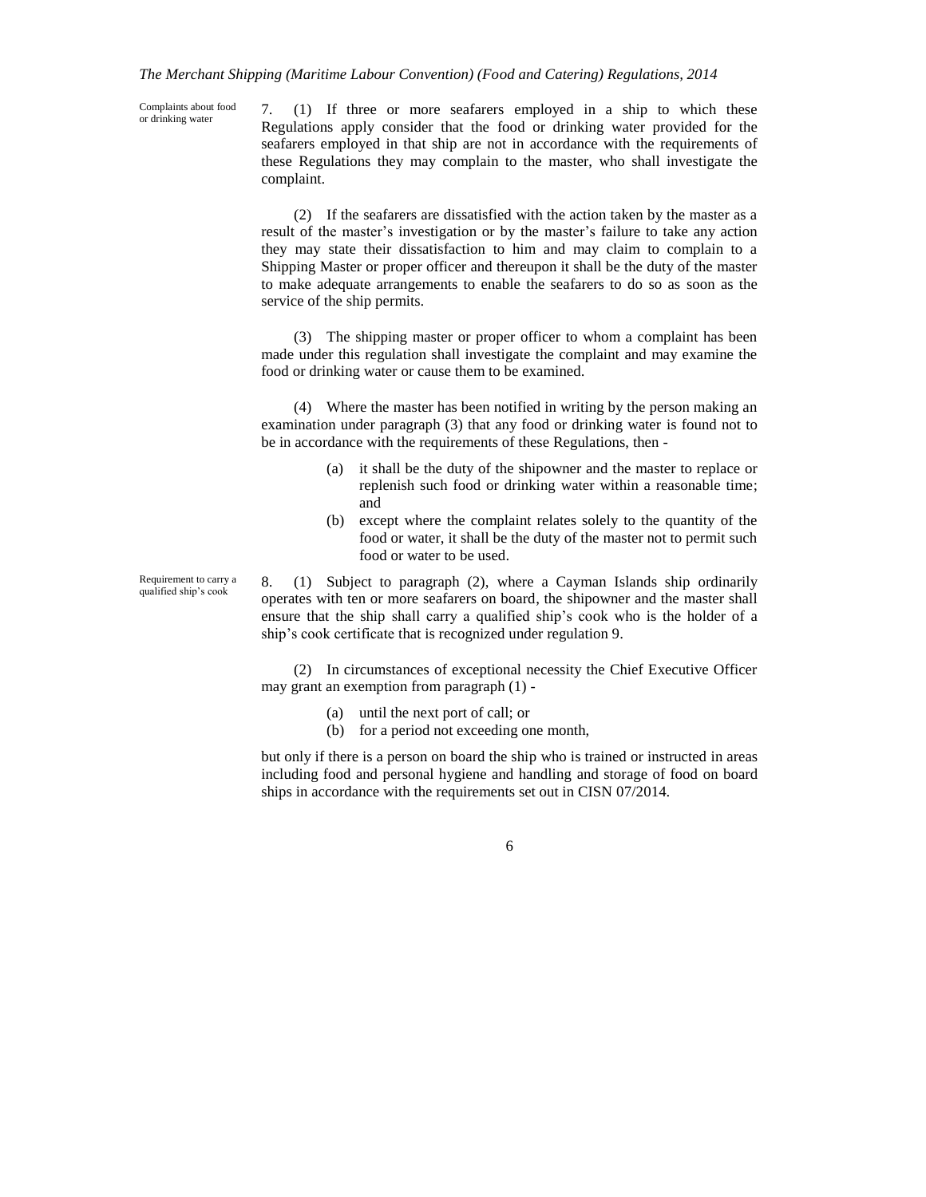Complaints about food or drinking water

7. (1) If three or more seafarers employed in a ship to which these Regulations apply consider that the food or drinking water provided for the seafarers employed in that ship are not in accordance with the requirements of these Regulations they may complain to the master, who shall investigate the complaint.

(2) If the seafarers are dissatisfied with the action taken by the master as a result of the master's investigation or by the master's failure to take any action they may state their dissatisfaction to him and may claim to complain to a Shipping Master or proper officer and thereupon it shall be the duty of the master to make adequate arrangements to enable the seafarers to do so as soon as the service of the ship permits.

(3) The shipping master or proper officer to whom a complaint has been made under this regulation shall investigate the complaint and may examine the food or drinking water or cause them to be examined.

(4) Where the master has been notified in writing by the person making an examination under paragraph (3) that any food or drinking water is found not to be in accordance with the requirements of these Regulations, then -

- (a) it shall be the duty of the shipowner and the master to replace or replenish such food or drinking water within a reasonable time; and
- (b) except where the complaint relates solely to the quantity of the food or water, it shall be the duty of the master not to permit such food or water to be used.

Requirement to carry a qualified ship's cook

8. (1) Subject to paragraph (2), where a Cayman Islands ship ordinarily operates with ten or more seafarers on board, the shipowner and the master shall ensure that the ship shall carry a qualified ship's cook who is the holder of a ship's cook certificate that is recognized under regulation 9.

(2) In circumstances of exceptional necessity the Chief Executive Officer may grant an exemption from paragraph (1) -

- (a) until the next port of call; or
- (b) for a period not exceeding one month,

but only if there is a person on board the ship who is trained or instructed in areas including food and personal hygiene and handling and storage of food on board ships in accordance with the requirements set out in CISN 07/2014.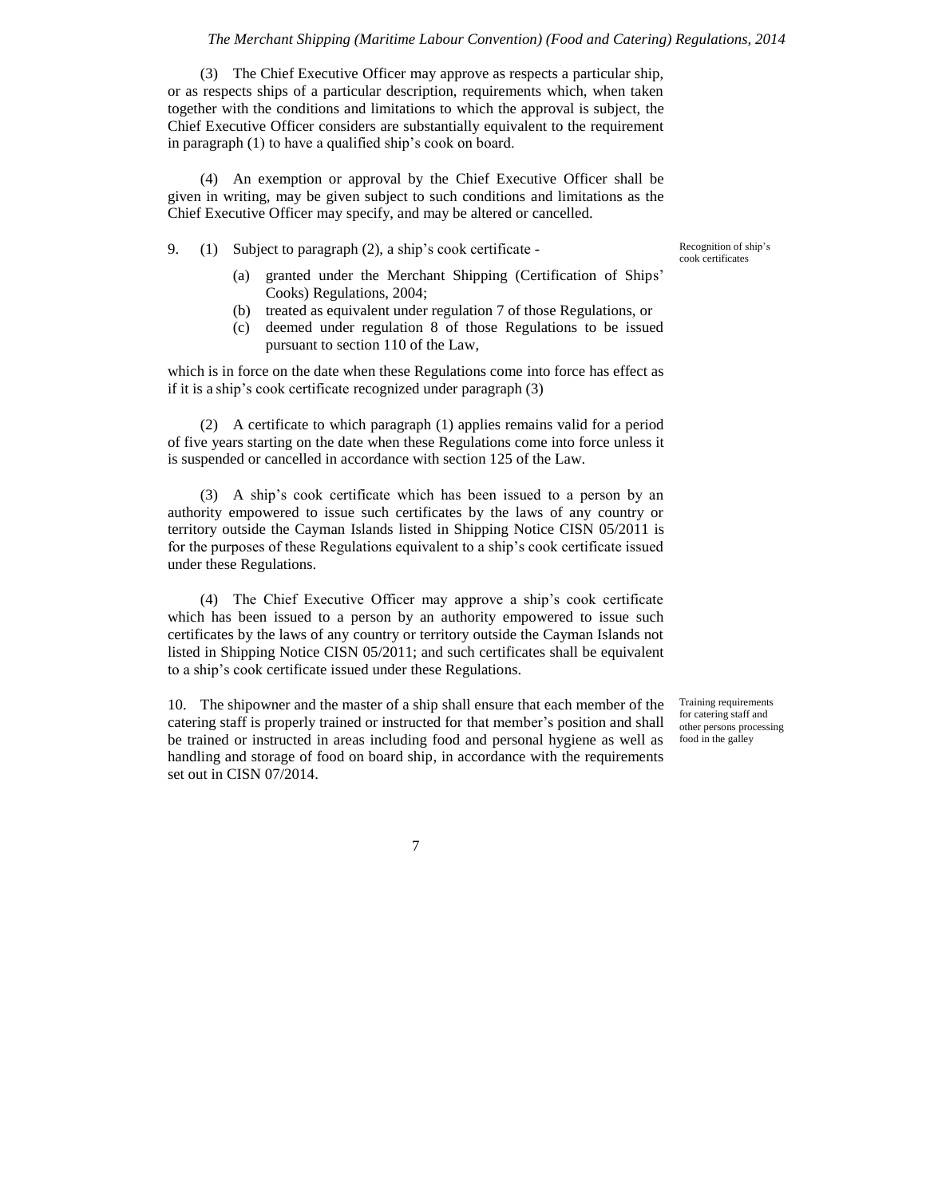(3) The Chief Executive Officer may approve as respects a particular ship, or as respects ships of a particular description, requirements which, when taken together with the conditions and limitations to which the approval is subject, the Chief Executive Officer considers are substantially equivalent to the requirement in paragraph (1) to have a qualified ship's cook on board.

(4) An exemption or approval by the Chief Executive Officer shall be given in writing, may be given subject to such conditions and limitations as the Chief Executive Officer may specify, and may be altered or cancelled.

9. (1) Subject to paragraph (2), a ship's cook certificate -

Recognition of ship's cook certificates

- (a) granted under the Merchant Shipping (Certification of Ships' Cooks) Regulations, 2004;
- (b) treated as equivalent under regulation 7 of those Regulations, or
- (c) deemed under regulation 8 of those Regulations to be issued pursuant to section 110 of the Law,

which is in force on the date when these Regulations come into force has effect as if it is a ship's cook certificate recognized under paragraph (3)

(2) A certificate to which paragraph (1) applies remains valid for a period of five years starting on the date when these Regulations come into force unless it is suspended or cancelled in accordance with section 125 of the Law.

(3) A ship's cook certificate which has been issued to a person by an authority empowered to issue such certificates by the laws of any country or territory outside the Cayman Islands listed in Shipping Notice CISN 05/2011 is for the purposes of these Regulations equivalent to a ship's cook certificate issued under these Regulations.

(4) The Chief Executive Officer may approve a ship's cook certificate which has been issued to a person by an authority empowered to issue such certificates by the laws of any country or territory outside the Cayman Islands not listed in Shipping Notice CISN 05/2011; and such certificates shall be equivalent to a ship's cook certificate issued under these Regulations.

10. The shipowner and the master of a ship shall ensure that each member of the catering staff is properly trained or instructed for that member's position and shall be trained or instructed in areas including food and personal hygiene as well as handling and storage of food on board ship, in accordance with the requirements set out in CISN 07/2014.

Training requirements for catering staff and other persons processing food in the galley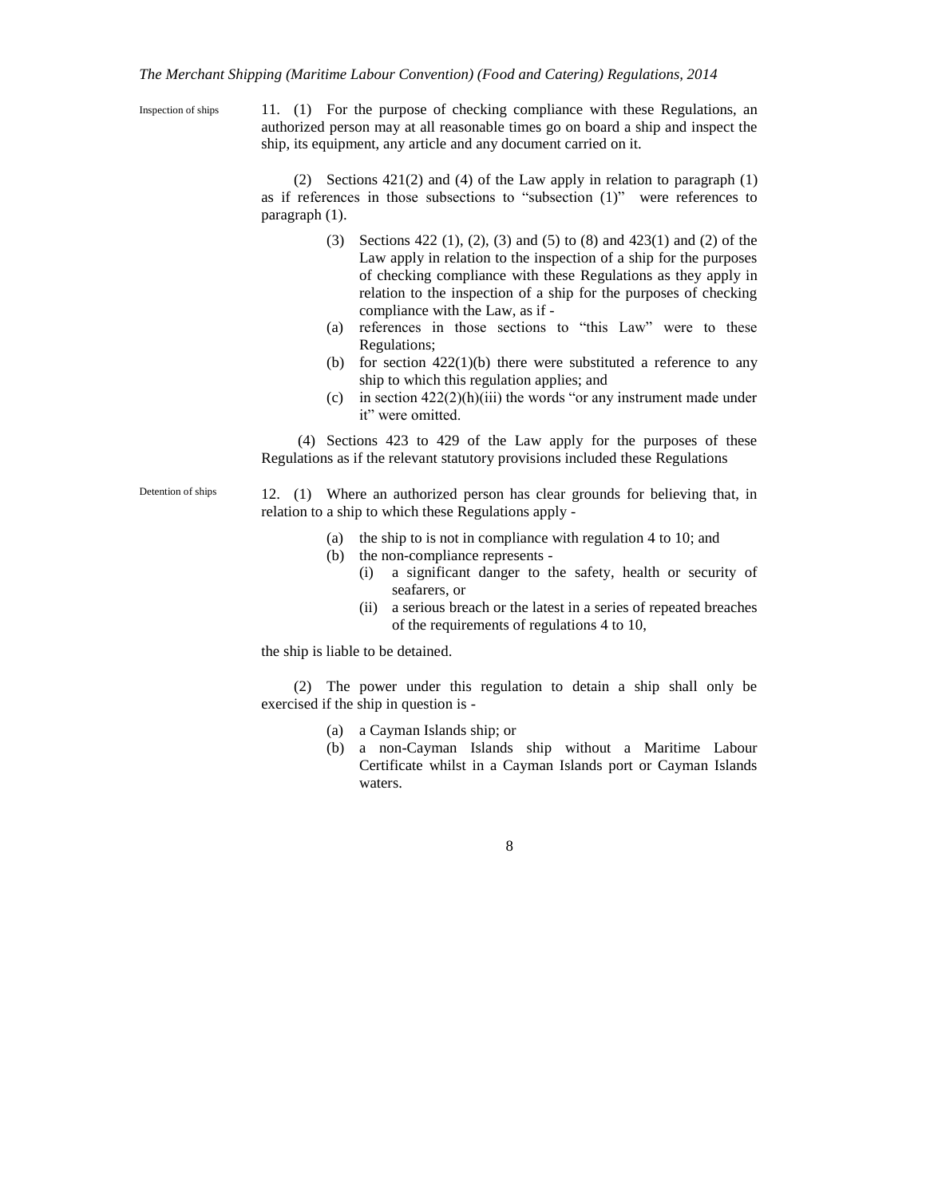Inspection of ships

Detention of ships

11. (1) For the purpose of checking compliance with these Regulations, an authorized person may at all reasonable times go on board a ship and inspect the ship, its equipment, any article and any document carried on it.

(2) Sections 421(2) and (4) of the Law apply in relation to paragraph (1) as if references in those subsections to "subsection (1)" were references to paragraph (1).

- (3) Sections 422 (1), (2), (3) and (5) to (8) and 423(1) and (2) of the Law apply in relation to the inspection of a ship for the purposes of checking compliance with these Regulations as they apply in relation to the inspection of a ship for the purposes of checking compliance with the Law, as if -
- (a) references in those sections to "this Law" were to these Regulations;
- (b) for section  $422(1)(b)$  there were substituted a reference to any ship to which this regulation applies; and
- (c) in section  $422(2)(h)(iii)$  the words "or any instrument made under it" were omitted.

(4) Sections 423 to 429 of the Law apply for the purposes of these Regulations as if the relevant statutory provisions included these Regulations

12. (1) Where an authorized person has clear grounds for believing that, in relation to a ship to which these Regulations apply -

- (a) the ship to is not in compliance with regulation 4 to 10; and
- (b) the non-compliance represents
	- (i) a significant danger to the safety, health or security of seafarers, or
	- (ii) a serious breach or the latest in a series of repeated breaches of the requirements of regulations 4 to 10,

the ship is liable to be detained.

(2) The power under this regulation to detain a ship shall only be exercised if the ship in question is -

- (a) a Cayman Islands ship; or
- (b) a non-Cayman Islands ship without a Maritime Labour Certificate whilst in a Cayman Islands port or Cayman Islands waters.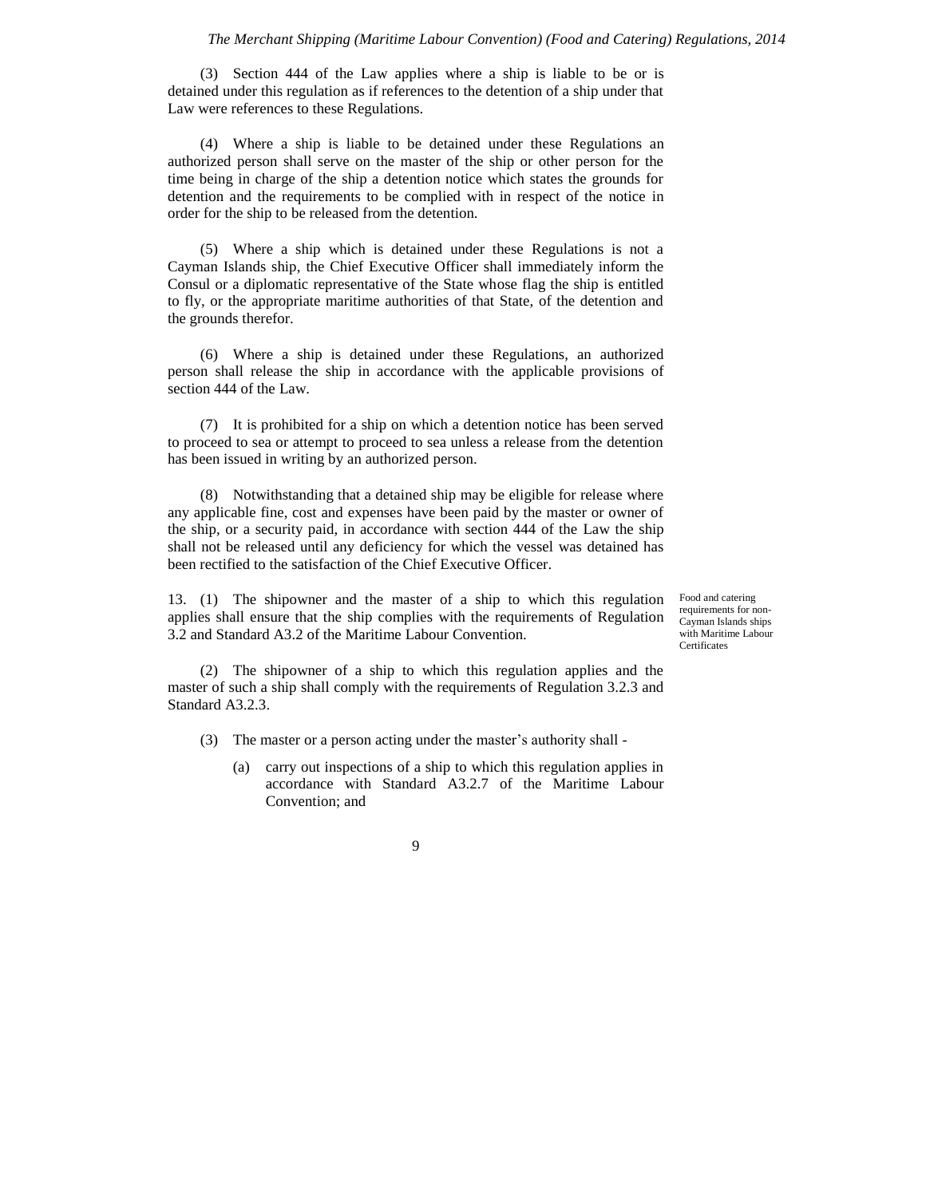(3) Section 444 of the Law applies where a ship is liable to be or is detained under this regulation as if references to the detention of a ship under that Law were references to these Regulations.

(4) Where a ship is liable to be detained under these Regulations an authorized person shall serve on the master of the ship or other person for the time being in charge of the ship a detention notice which states the grounds for detention and the requirements to be complied with in respect of the notice in order for the ship to be released from the detention.

(5) Where a ship which is detained under these Regulations is not a Cayman Islands ship, the Chief Executive Officer shall immediately inform the Consul or a diplomatic representative of the State whose flag the ship is entitled to fly, or the appropriate maritime authorities of that State, of the detention and the grounds therefor.

(6) Where a ship is detained under these Regulations, an authorized person shall release the ship in accordance with the applicable provisions of section 444 of the Law.

(7) It is prohibited for a ship on which a detention notice has been served to proceed to sea or attempt to proceed to sea unless a release from the detention has been issued in writing by an authorized person.

(8) Notwithstanding that a detained ship may be eligible for release where any applicable fine, cost and expenses have been paid by the master or owner of the ship, or a security paid, in accordance with section 444 of the Law the ship shall not be released until any deficiency for which the vessel was detained has been rectified to the satisfaction of the Chief Executive Officer.

13. (1) The shipowner and the master of a ship to which this regulation applies shall ensure that the ship complies with the requirements of Regulation 3.2 and Standard A3.2 of the Maritime Labour Convention.

Food and catering requirements for non-Cayman Islands ships with Maritime Labour Certificates

(2) The shipowner of a ship to which this regulation applies and the master of such a ship shall comply with the requirements of Regulation 3.2.3 and Standard A3.2.3.

- (3) The master or a person acting under the master's authority shall
	- (a) carry out inspections of a ship to which this regulation applies in accordance with Standard A3.2.7 of the Maritime Labour Convention; and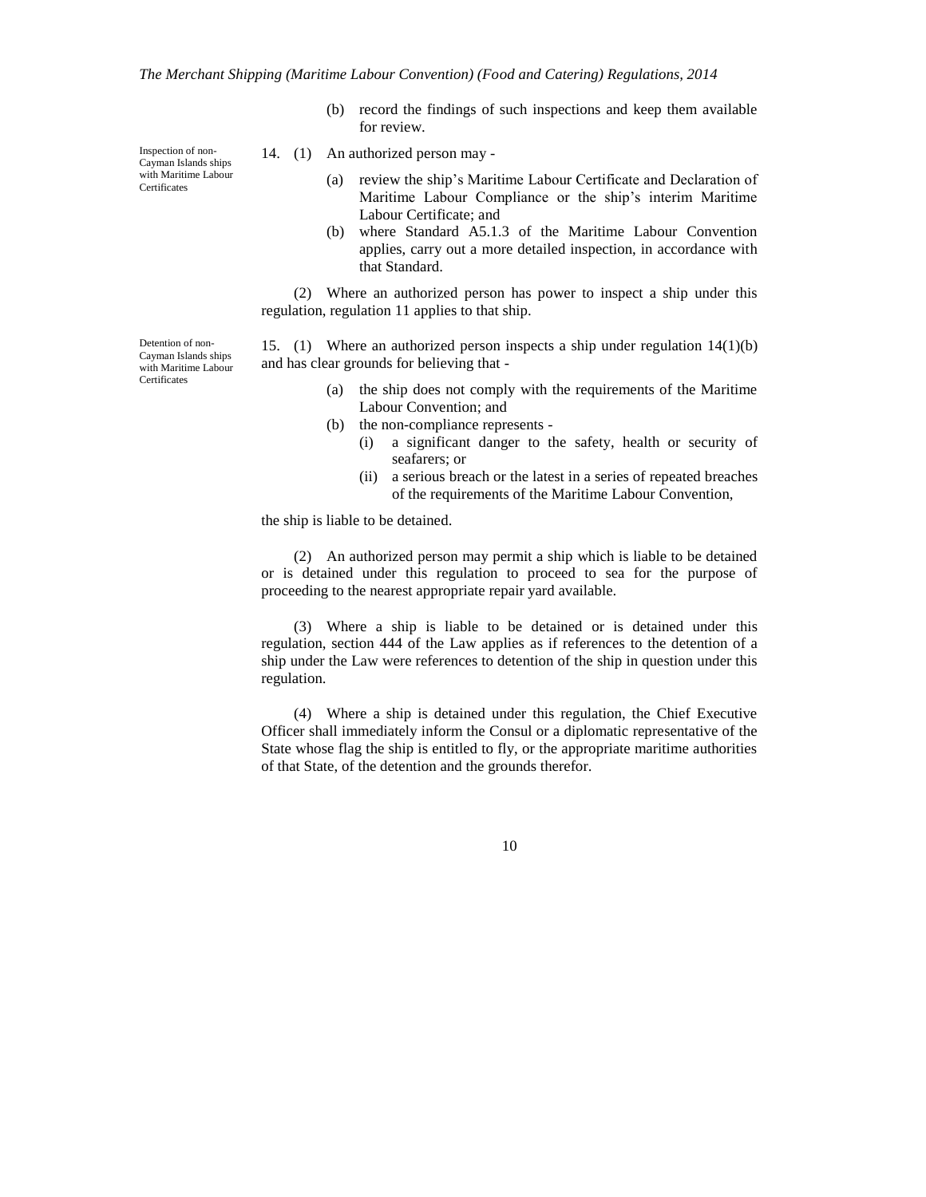Inspection of non-Cayman Islands ships with Maritime Labour Certificates

- (b) record the findings of such inspections and keep them available for review.
- 14. (1) An authorized person may
	- (a) review the ship's Maritime Labour Certificate and Declaration of Maritime Labour Compliance or the ship's interim Maritime Labour Certificate; and
	- (b) where Standard A5.1.3 of the Maritime Labour Convention applies, carry out a more detailed inspection, in accordance with that Standard.

(2) Where an authorized person has power to inspect a ship under this regulation, regulation 11 applies to that ship.

Detention of non-Cayman Islands ships with Maritime Labour Certificates

15. (1) Where an authorized person inspects a ship under regulation 14(1)(b) and has clear grounds for believing that -

- (a) the ship does not comply with the requirements of the Maritime Labour Convention; and
- (b) the non-compliance represents
	- (i) a significant danger to the safety, health or security of seafarers; or
	- (ii) a serious breach or the latest in a series of repeated breaches of the requirements of the Maritime Labour Convention,

the ship is liable to be detained.

(2) An authorized person may permit a ship which is liable to be detained or is detained under this regulation to proceed to sea for the purpose of proceeding to the nearest appropriate repair yard available.

(3) Where a ship is liable to be detained or is detained under this regulation, section 444 of the Law applies as if references to the detention of a ship under the Law were references to detention of the ship in question under this regulation.

(4) Where a ship is detained under this regulation, the Chief Executive Officer shall immediately inform the Consul or a diplomatic representative of the State whose flag the ship is entitled to fly, or the appropriate maritime authorities of that State, of the detention and the grounds therefor.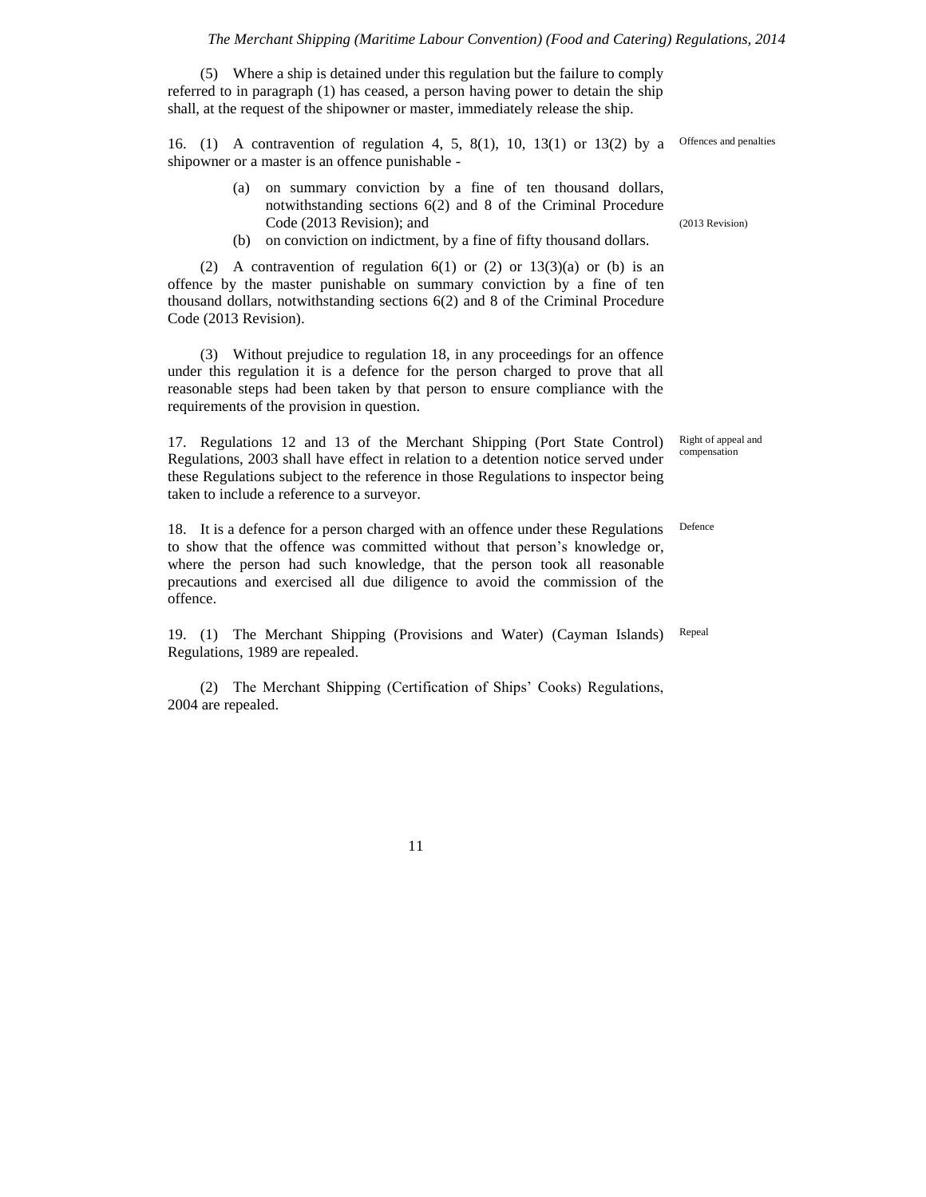(5) Where a ship is detained under this regulation but the failure to comply referred to in paragraph (1) has ceased, a person having power to detain the ship shall, at the request of the shipowner or master, immediately release the ship.

16. (1) A contravention of regulation 4, 5, 8(1), 10, 13(1) or 13(2) by a shipowner or a master is an offence punishable -

- (a) on summary conviction by a fine of ten thousand dollars, notwithstanding sections 6(2) and 8 of the Criminal Procedure Code (2013 Revision); and
- (b) on conviction on indictment, by a fine of fifty thousand dollars.

(2) A contravention of regulation  $6(1)$  or (2) or  $13(3)(a)$  or (b) is an offence by the master punishable on summary conviction by a fine of ten thousand dollars, notwithstanding sections 6(2) and 8 of the Criminal Procedure Code (2013 Revision).

(3) Without prejudice to regulation 18, in any proceedings for an offence under this regulation it is a defence for the person charged to prove that all reasonable steps had been taken by that person to ensure compliance with the requirements of the provision in question.

17. Regulations 12 and 13 of the Merchant Shipping (Port State Control) Regulations, 2003 shall have effect in relation to a detention notice served under these Regulations subject to the reference in those Regulations to inspector being taken to include a reference to a surveyor.

18. It is a defence for a person charged with an offence under these Regulations to show that the offence was committed without that person's knowledge or, where the person had such knowledge, that the person took all reasonable precautions and exercised all due diligence to avoid the commission of the offence.

19. (1) The Merchant Shipping (Provisions and Water) (Cayman Islands) Regulations, 1989 are repealed.

(2) The Merchant Shipping (Certification of Ships' Cooks) Regulations, 2004 are repealed.

11

(2013 Revision)

Offences and penalties

Right of appeal and compensation

Defence

Repeal